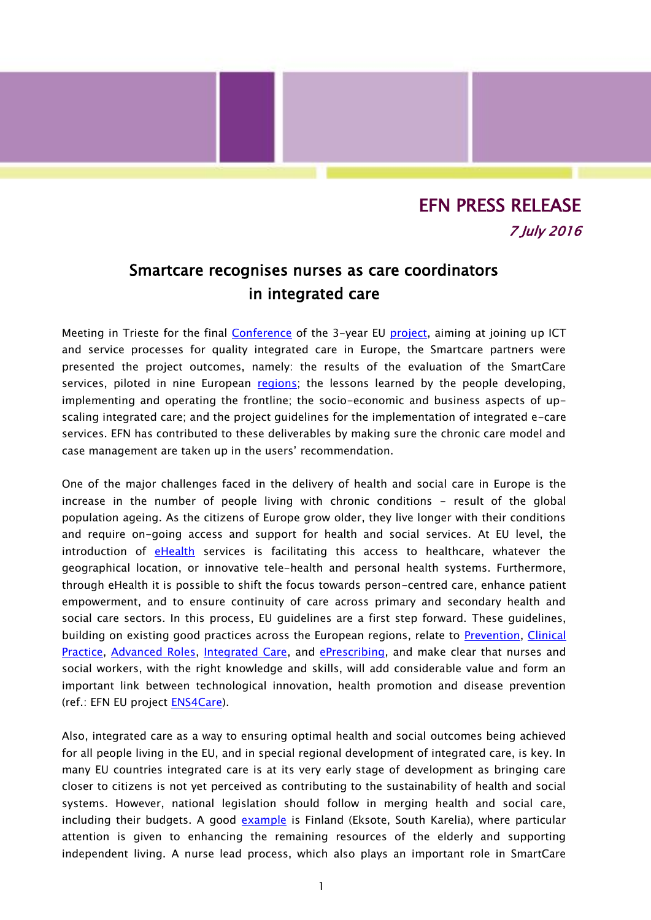## EFN PRESS RELEASE 7 July 2016

## Smartcare recognises nurses as care coordinators in integrated care

Meeting in Trieste for the final [Conference](http://pilotsmartcare.eu/conference.html) of the 3-year EU [project,](http://pilotsmartcare.eu/home/) aiming at joining up ICT and service processes for quality integrated care in Europe, the Smartcare partners were presented the project outcomes, namely: the results of the evaluation of the SmartCare services, piloted in nine European [regions;](http://pilotsmartcare.eu/smartcare-regions/regions-overview.html) the lessons learned by the people developing, implementing and operating the frontline; the socio-economic and business aspects of upscaling integrated care; and the project guidelines for the implementation of integrated e-care services. EFN has contributed to these deliverables by making sure the chronic care model and case management are taken up in the users' recommendation.

One of the major challenges faced in the delivery of health and social care in Europe is the increase in the number of people living with chronic conditions - result of the global population ageing. As the citizens of Europe grow older, they live longer with their conditions and require on-going access and support for health and social services. At EU level, the introduction of [eHealth](http://ec.europa.eu/health-eu/care_for_me/e-health/index_en.htm) services is facilitating this access to healthcare, whatever the geographical location, or innovative tele-health and personal health systems. Furthermore, through eHealth it is possible to shift the focus towards person-centred care, enhance patient empowerment, and to ensure continuity of care across primary and secondary health and social care sectors. In this process, EU guidelines are a first step forward. These guidelines, building on existing good practices across the European regions, relate to [Prevention,](http://www.ens4care.eu/wp-content/uploads/2015/12/Final-ENS4Care-Guideline-1-Prevention-pv.pdf) [Clinical](http://www.ens4care.eu/wp-content/uploads/2015/12/Final-ENS4Care-Guideline-2-Clinical-Practice-pv.pdf)  [Practice,](http://www.ens4care.eu/wp-content/uploads/2015/12/Final-ENS4Care-Guideline-2-Clinical-Practice-pv.pdf) [Advanced Roles,](http://www.ens4care.eu/wp-content/uploads/2015/12/Final-ENS4Care-Guideline-3-Advanced-Roles-pv.pdf) [Integrated Care,](http://www.ens4care.eu/wp-content/uploads/2015/12/Final-ENS4Care-Guideline-4-Integrated-Care-pv.pdf) and [ePrescribing,](http://www.ens4care.eu/wp-content/uploads/2015/12/Final-ENS4Care-Guideline-5-Nurse-ePrescribing-pv.pdf) and make clear that nurses and social workers, with the right knowledge and skills, will add considerable value and form an important link between technological innovation, health promotion and disease prevention (ref.: EFN EU project [ENS4Care\)](http://www.ens4care.eu/).

Also, integrated care as a way to ensuring optimal health and social outcomes being achieved for all people living in the EU, and in special regional development of integrated care, is key. In many EU countries integrated care is at its very early stage of development as bringing care closer to citizens is not yet perceived as contributing to the sustainability of health and social systems. However, national legislation should follow in merging health and social care, including their budgets. A good [example](http://pilotsmartcare.eu/smartcare-regions/region-etelae-kariala-fi.html) is Finland (Eksote, South Karelia), where particular attention is given to enhancing the remaining resources of the elderly and supporting independent living. A nurse lead process, which also plays an important role in SmartCare